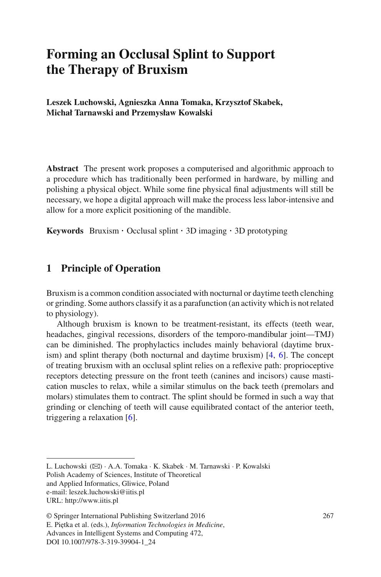# **Forming an Occlusal Splint to Support the Therapy of Bruxism**

**Leszek Luchowski, Agnieszka Anna Tomaka, Krzysztof Skabek, Michał Tarnawski and Przemysław Kowalski**

**Abstract** The present work proposes a computerised and algorithmic approach to a procedure which has traditionally been performed in hardware, by milling and polishing a physical object. While some fine physical final adjustments will still be necessary, we hope a digital approach will make the process less labor-intensive and allow for a more explicit positioning of the mandible.

**Keywords** Bruxism · Occlusal splint · 3D imaging · 3D prototyping

## **1 Principle of Operation**

Bruxism is a common condition associated with nocturnal or daytime teeth clenching or grinding. Some authors classify it as a parafunction (an activity which is not related to physiology).

Although bruxism is known to be treatment-resistant, its effects (teeth wear, headaches, gingival recessions, disorders of the temporo-mandibular joint—TMJ) can be diminished. The prophylactics includes mainly behavioral (daytime bruxism) and splint therapy (both nocturnal and daytime bruxism) [\[4](#page-6-0), [6\]](#page-6-1). The concept of treating bruxism with an occlusal splint relies on a reflexive path: proprioceptive receptors detecting pressure on the front teeth (canines and incisors) cause mastication muscles to relax, while a similar stimulus on the back teeth (premolars and molars) stimulates them to contract. The splint should be formed in such a way that grinding or clenching of teeth will cause equilibrated contact of the anterior teeth, triggering a relaxation [\[6\]](#page-6-1).

L. Luchowski (B) · A.A. Tomaka · K. Skabek · M. Tarnawski · P. Kowalski Polish Academy of Sciences, Institute of Theoretical and Applied Informatics, Gliwice, Poland e-mail: leszek.luchowski@iitis.pl

URL: http://www.iitis.pl

<sup>©</sup> Springer International Publishing Switzerland 2016

E. Pie˛tka et al. (eds.), *Information Technologies in Medicine*, Advances in Intelligent Systems and Computing 472, DOI 10.1007/978-3-319-39904-1\_24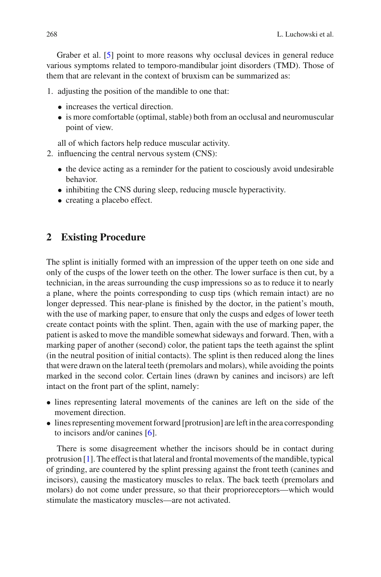Graber et al. [\[5](#page-6-2)] point to more reasons why occlusal devices in general reduce various symptoms related to temporo-mandibular joint disorders (TMD). Those of them that are relevant in the context of bruxism can be summarized as:

- 1. adjusting the position of the mandible to one that:
	- increases the vertical direction.
	- is more comfortable (optimal, stable) both from an occlusal and neuromuscular point of view.

all of which factors help reduce muscular activity.

- 2. influencing the central nervous system (CNS):
	- the device acting as a reminder for the patient to cosciously avoid undesirable behavior.
	- inhibiting the CNS during sleep, reducing muscle hyperactivity.
	- creating a placebo effect.

## **2 Existing Procedure**

The splint is initially formed with an impression of the upper teeth on one side and only of the cusps of the lower teeth on the other. The lower surface is then cut, by a technician, in the areas surrounding the cusp impressions so as to reduce it to nearly a plane, where the points corresponding to cusp tips (which remain intact) are no longer depressed. This near-plane is finished by the doctor, in the patient's mouth, with the use of marking paper, to ensure that only the cusps and edges of lower teeth create contact points with the splint. Then, again with the use of marking paper, the patient is asked to move the mandible somewhat sideways and forward. Then, with a marking paper of another (second) color, the patient taps the teeth against the splint (in the neutral position of initial contacts). The splint is then reduced along the lines that were drawn on the lateral teeth (premolars and molars), while avoiding the points marked in the second color. Certain lines (drawn by canines and incisors) are left intact on the front part of the splint, namely:

- lines representing lateral movements of the canines are left on the side of the movement direction.
- lines representing movement forward [protrusion] are left in the area corresponding to incisors and/or canines [\[6](#page-6-1)].

There is some disagreement whether the incisors should be in contact during protrusion [\[1](#page-5-0)]. The effect is that lateral and frontal movements of the mandible, typical of grinding, are countered by the splint pressing against the front teeth (canines and incisors), causing the masticatory muscles to relax. The back teeth (premolars and molars) do not come under pressure, so that their proprioreceptors—which would stimulate the masticatory muscles—are not activated.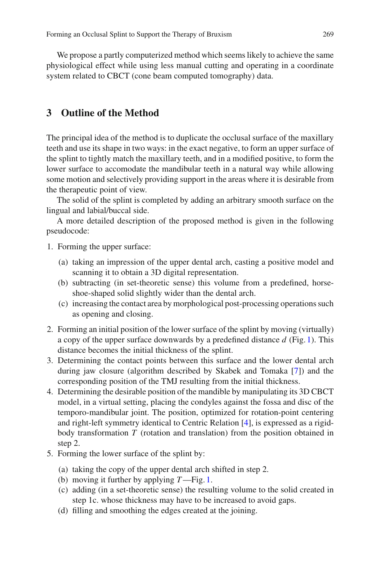We propose a partly computerized method which seems likely to achieve the same physiological effect while using less manual cutting and operating in a coordinate system related to CBCT (cone beam computed tomography) data.

# **3 Outline of the Method**

The principal idea of the method is to duplicate the occlusal surface of the maxillary teeth and use its shape in two ways: in the exact negative, to form an upper surface of the splint to tightly match the maxillary teeth, and in a modified positive, to form the lower surface to accomodate the mandibular teeth in a natural way while allowing some motion and selectively providing support in the areas where it is desirable from the therapeutic point of view.

The solid of the splint is completed by adding an arbitrary smooth surface on the lingual and labial/buccal side.

A more detailed description of the proposed method is given in the following pseudocode:

- 1. Forming the upper surface:
	- (a) taking an impression of the upper dental arch, casting a positive model and scanning it to obtain a 3D digital representation.
	- (b) subtracting (in set-theoretic sense) this volume from a predefined, horseshoe-shaped solid slightly wider than the dental arch.
	- (c) increasing the contact area by morphological post-processing operations such as opening and closing.
- 2. Forming an initial position of the lower surface of the splint by moving (virtually) a copy of the upper surface downwards by a predefined distance *d* (Fig. [1\)](#page-3-0). This distance becomes the initial thickness of the splint.
- 3. Determining the contact points between this surface and the lower dental arch during jaw closure (algorithm described by Skabek and Tomaka [\[7](#page-6-3)]) and the corresponding position of the TMJ resulting from the initial thickness.
- 4. Determining the desirable position of the mandible by manipulating its 3D CBCT model, in a virtual setting, placing the condyles against the fossa and disc of the temporo-mandibular joint. The position, optimized for rotation-point centering and right-left symmetry identical to Centric Relation [\[4\]](#page-6-0), is expressed as a rigidbody transformation *T* (rotation and translation) from the position obtained in step 2.
- 5. Forming the lower surface of the splint by:
	- (a) taking the copy of the upper dental arch shifted in step 2.
	- (b) moving it further by applying *T*—Fig. [1.](#page-3-0)
	- (c) adding (in a set-theoretic sense) the resulting volume to the solid created in step 1c. whose thickness may have to be increased to avoid gaps.
	- (d) filling and smoothing the edges created at the joining.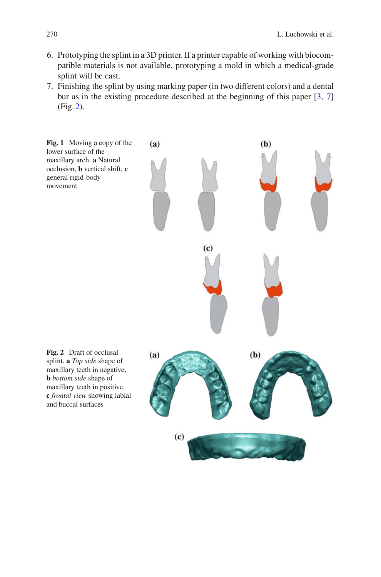- 6. Prototyping the splint in a 3D printer. If a printer capable of working with biocompatible materials is not available, prototyping a mold in which a medical-grade splint will be cast.
- 7. Finishing the splint by using marking paper (in two different colors) and a dental bur as in the existing procedure described at the beginning of this paper [\[3,](#page-6-4) [7\]](#page-6-3) (Fig. [2\)](#page-3-1).

<span id="page-3-1"></span><span id="page-3-0"></span>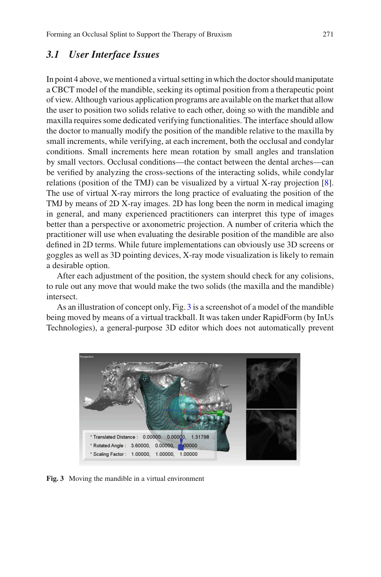### *3.1 User Interface Issues*

In point 4 above, we mentioned a virtual setting in which the doctor should maniputate a CBCT model of the mandible, seeking its optimal position from a therapeutic point of view. Although various application programs are available on the market that allow the user to position two solids relative to each other, doing so with the mandible and maxilla requires some dedicated verifying functionalities. The interface should allow the doctor to manually modify the position of the mandible relative to the maxilla by small increments, while verifying, at each increment, both the occlusal and condylar conditions. Small increments here mean rotation by small angles and translation by small vectors. Occlusal conditions—the contact between the dental arches—can be verified by analyzing the cross-sections of the interacting solids, while condylar relations (position of the TMJ) can be visualized by a virtual X-ray projection [\[8](#page-6-5)]. The use of virtual X-ray mirrors the long practice of evaluating the position of the TMJ by means of 2D X-ray images. 2D has long been the norm in medical imaging in general, and many experienced practitioners can interpret this type of images better than a perspective or axonometric projection. A number of criteria which the practitioner will use when evaluating the desirable position of the mandible are also defined in 2D terms. While future implementations can obviously use 3D screens or goggles as well as 3D pointing devices, X-ray mode visualization is likely to remain a desirable option.

After each adjustment of the position, the system should check for any colisions, to rule out any move that would make the two solids (the maxilla and the mandible) intersect.

As an illustration of concept only, Fig. [3](#page-4-0) is a screenshot of a model of the mandible being moved by means of a virtual trackball. It was taken under RapidForm (by InUs Technologies), a general-purpose 3D editor which does not automatically prevent

<span id="page-4-0"></span>

**Fig. 3** Moving the mandible in a virtual environment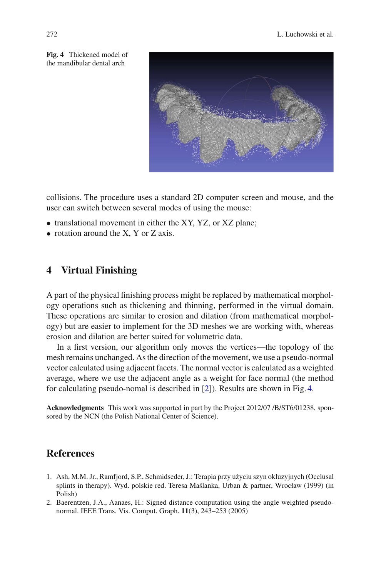<span id="page-5-2"></span>**Fig. 4** Thickened model of the mandibular dental arch



collisions. The procedure uses a standard 2D computer screen and mouse, and the user can switch between several modes of using the mouse:

- translational movement in either the XY, YZ, or XZ plane;
- rotation around the X, Y or Z axis.

## **4 Virtual Finishing**

A part of the physical finishing process might be replaced by mathematical morphology operations such as thickening and thinning, performed in the virtual domain. These operations are similar to erosion and dilation (from mathematical morphology) but are easier to implement for the 3D meshes we are working with, whereas erosion and dilation are better suited for volumetric data.

In a first version, our algorithm only moves the vertices—the topology of the mesh remains unchanged. As the direction of the movement, we use a pseudo-normal vector calculated using adjacent facets. The normal vector is calculated as a weighted average, where we use the adjacent angle as a weight for face normal (the method for calculating pseudo-nomal is described in [\[2](#page-5-1)]). Results are shown in Fig. [4.](#page-5-2)

**Acknowledgments** This work was supported in part by the Project 2012/07 /B/ST6/01238, sponsored by the NCN (the Polish National Center of Science).

### **References**

- <span id="page-5-0"></span>1. Ash, M.M. Jr., Ramfjord, S.P., Schmidseder, J.: Terapia przy użyciu szyn okluzyjnych (Occlusal splints in therapy). Wyd. polskie red. Teresa Maślanka, Urban & partner, Wrocław (1999) (in Polish)
- <span id="page-5-1"></span>2. Baerentzen, J.A., Aanaes, H.: Signed distance computation using the angle weighted pseudonormal. IEEE Trans. Vis. Comput. Graph. **11**(3), 243–253 (2005)